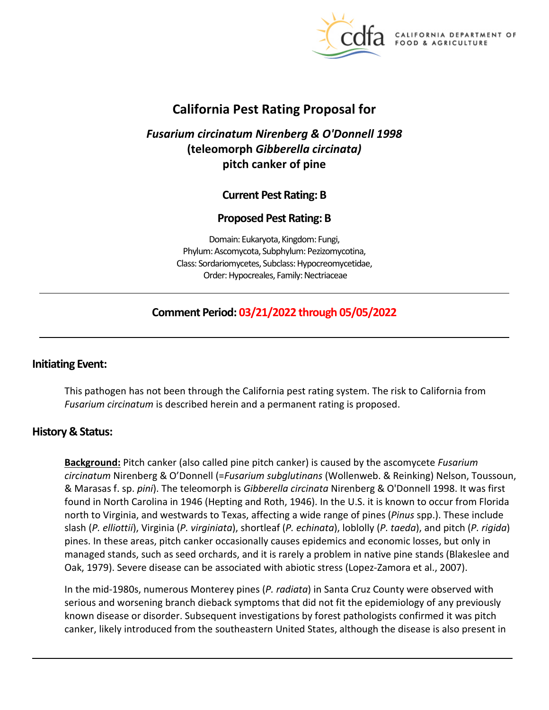

**CALIFORNIA DEPARTMENT OF** FOOD & AGRICULTURE

# **California Pest Rating Proposal for**

# *Fusarium circinatum Nirenberg & O'Donnell 1998*  **(teleomorph** *Gibberella circinata)*  **pitch canker of pine**

# **Current Pest Rating: B**

# **Proposed Pest Rating: B**

Domain: Eukaryota, Kingdom: Fungi, Phylum: Ascomycota, Subphylum: Pezizomycotina, Class: Sordariomycetes, Subclass: Hypocreomycetidae, Order: Hypocreales, Family: Nectriaceae

# **Comment Period: 03/21/2022 through 05/05/2022**

### **Initiating Event:**

This pathogen has not been through the California pest rating system. The risk to California from *Fusarium circinatum* is described herein and a permanent rating is proposed.

### **History & Status:**

**Background:** Pitch canker (also called pine pitch canker) is caused by the ascomycete *Fusarium circinatum* Nirenberg & O'Donnell (=*Fusarium subglutinans* (Wollenweb. & Reinking) Nelson, Toussoun, & Marasas f. sp. *pini*). The teleomorph is *Gibberella circinata* Nirenberg & O'Donnell 1998. It was first found in North Carolina in 1946 (Hepting and Roth, 1946). In the U.S. it is known to occur from Florida north to Virginia, and westwards to Texas, affecting a wide range of pines (*Pinus* spp.). These include slash (*P. elliottii*), Virginia (*P. virginiata*), shortleaf (*P. echinata*), loblolly (*P. taeda*), and pitch (*P. rigida*) pines. In these areas, pitch canker occasionally causes epidemics and economic losses, but only in managed stands, such as seed orchards, and it is rarely a problem in native pine stands (Blakeslee and Oak, 1979). Severe disease can be associated with abiotic stress (Lopez-Zamora et al., 2007).

In the mid-1980s, numerous Monterey pines (*P. radiata*) in Santa Cruz County were observed with serious and worsening branch dieback symptoms that did not fit the epidemiology of any previously known disease or disorder. Subsequent investigations by forest pathologists confirmed it was pitch canker, likely introduced from the southeastern United States, although the disease is also present in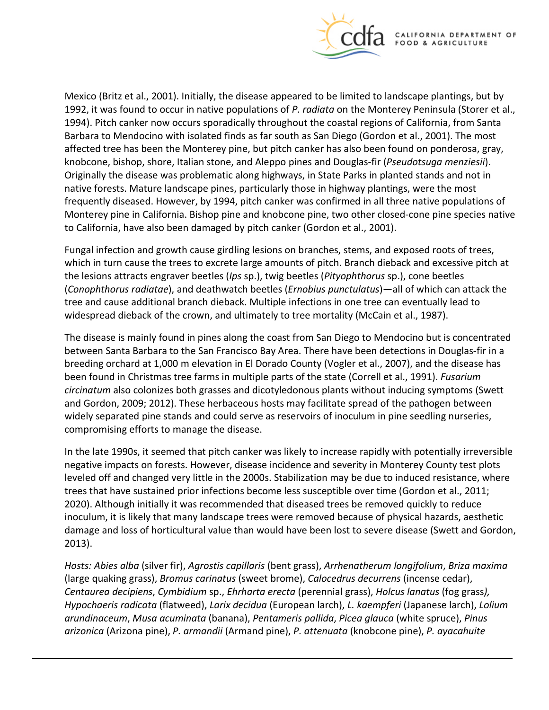

Mexico (Britz et al., 2001). Initially, the disease appeared to be limited to landscape plantings, but by 1992, it was found to occur in native populations of *P. radiata* on the Monterey Peninsula (Storer et al., 1994). Pitch canker now occurs sporadically throughout the coastal regions of California, from Santa Barbara to Mendocino with isolated finds as far south as San Diego (Gordon et al., 2001). The most affected tree has been the Monterey pine, but pitch canker has also been found on ponderosa, gray, knobcone, bishop, shore, Italian stone, and Aleppo pines and Douglas-fir (*Pseudotsuga menziesii*). Originally the disease was problematic along highways, in State Parks in planted stands and not in native forests. Mature landscape pines, particularly those in highway plantings, were the most frequently diseased. However, by 1994, pitch canker was confirmed in all three native populations of Monterey pine in California. Bishop pine and knobcone pine, two other closed-cone pine species native to California, have also been damaged by pitch canker (Gordon et al., 2001).

Fungal infection and growth cause girdling lesions on branches, stems, and exposed roots of trees, which in turn cause the trees to excrete large amounts of pitch. Branch dieback and excessive pitch at the lesions attracts engraver beetles (*Ips* sp.), twig beetles (*Pityophthorus* sp.), cone beetles (*Conophthorus radiatae*), and deathwatch beetles (*Ernobius punctulatus*)—all of which can attack the tree and cause additional branch dieback. Multiple infections in one tree can eventually lead to widespread dieback of the crown, and ultimately to tree mortality (McCain et al., 1987).

The disease is mainly found in pines along the coast from San Diego to Mendocino but is concentrated between Santa Barbara to the San Francisco Bay Area. There have been detections in Douglas-fir in a breeding orchard at 1,000 m elevation in El Dorado County (Vogler et al., 2007), and the disease has been found in Christmas tree farms in multiple parts of the state (Correll et al., 1991). *Fusarium circinatum* also colonizes both grasses and dicotyledonous plants without inducing symptoms (Swett and Gordon, 2009; 2012). These herbaceous hosts may facilitate spread of the pathogen between widely separated pine stands and could serve as reservoirs of inoculum in pine seedling nurseries, compromising efforts to manage the disease.

In the late 1990s, it seemed that pitch canker was likely to increase rapidly with potentially irreversible negative impacts on forests. However, disease incidence and severity in Monterey County test plots leveled off and changed very little in the 2000s. Stabilization may be due to induced resistance, where trees that have sustained prior infections become less susceptible over time (Gordon et al., 2011; 2020). Although initially it was recommended that diseased trees be removed quickly to reduce inoculum, it is likely that many landscape trees were removed because of physical hazards, aesthetic damage and loss of horticultural value than would have been lost to severe disease (Swett and Gordon, 2013).

*Hosts: Abies alba* (silver fir), *Agrostis capillaris* (bent grass), *Arrhenatherum longifolium*, *Briza maxima*  (large quaking grass), *Bromus carinatus* (sweet brome), *Calocedrus decurrens* (incense cedar), *Centaurea decipiens*, *Cymbidium* sp., *Ehrharta erecta* (perennial grass), *Holcus lanatus* (fog grass*), Hypochaeris radicata* (flatweed), *Larix decidua* (European larch), *L. kaempferi* (Japanese larch), *Lolium arundinaceum*, *Musa acuminata* (banana), *Pentameris pallida*, *Picea glauca* (white spruce), *Pinus arizonica* (Arizona pine), *P. armandii* (Armand pine), *P. attenuata* (knobcone pine), *P. ayacahuite*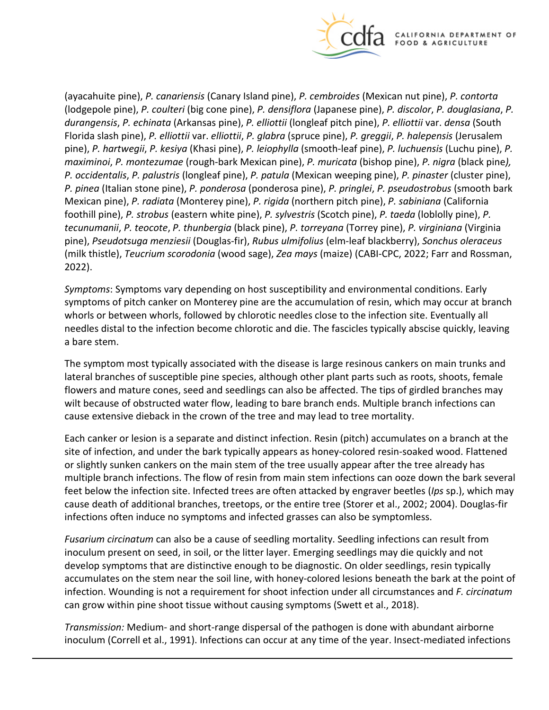

(ayacahuite pine), *P. canariensis* (Canary Island pine), *P. cembroides* (Mexican nut pine), *P. contorta*  (lodgepole pine), *P. coulteri* (big cone pine), *P. densiflora* (Japanese pine), *P. discolor*, *P. douglasiana*, *P. durangensis*, *P. echinata* (Arkansas pine), *P. elliottii* (longleaf pitch pine), *P. elliottii* var. *densa* (South Florida slash pine), *P. elliottii* var. *elliottii*, *P. glabra* (spruce pine), *P. greggii*, *P. halepensis* (Jerusalem pine), *P. hartwegii*, *P. kesiya* (Khasi pine), *P. leiophylla* (smooth-leaf pine), *P. luchuensis* (Luchu pine), *P. maximinoi*, *P. montezumae* (rough-bark Mexican pine), *P. muricata* (bishop pine), *P. nigra* (black pine*), P. occidentalis*, *P. palustris* (longleaf pine), *P. patula* (Mexican weeping pine), *P. pinaster* (cluster pine), *P. pinea* (Italian stone pine), *P. ponderosa* (ponderosa pine), *P. pringlei*, *P. pseudostrobus* (smooth bark Mexican pine), *P. radiata* (Monterey pine), *P. rigida* (northern pitch pine), *P. sabiniana* (California foothill pine), *P. strobus* (eastern white pine), *P. sylvestris* (Scotch pine), *P. taeda* (loblolly pine), *P. tecunumanii*, *P. teocote*, *P. thunbergia* (black pine), *P. torreyana* (Torrey pine), *P. virginiana* (Virginia pine), *Pseudotsuga menziesii* (Douglas-fir), *Rubus ulmifolius* (elm-leaf blackberry), *Sonchus oleraceus*  (milk thistle), *Teucrium scorodonia* (wood sage), *Zea mays* (maize) (CABI-CPC, 2022; Farr and Rossman, 2022).

*Symptoms*: Symptoms vary depending on host susceptibility and environmental conditions. Early symptoms of pitch canker on Monterey pine are the accumulation of resin, which may occur at branch whorls or between whorls, followed by chlorotic needles close to the infection site. Eventually all needles distal to the infection become chlorotic and die. The fascicles typically abscise quickly, leaving a bare stem.

The symptom most typically associated with the disease is large resinous cankers on main trunks and lateral branches of susceptible pine species, although other plant parts such as roots, shoots, female flowers and mature cones, seed and seedlings can also be affected. The tips of girdled branches may wilt because of obstructed water flow, leading to bare branch ends. Multiple branch infections can cause extensive dieback in the crown of the tree and may lead to tree mortality.

Each canker or lesion is a separate and distinct infection. Resin (pitch) accumulates on a branch at the site of infection, and under the bark typically appears as honey-colored resin-soaked wood. Flattened or slightly sunken cankers on the main stem of the tree usually appear after the tree already has multiple branch infections. The flow of resin from main stem infections can ooze down the bark several feet below the infection site. Infected trees are often attacked by engraver beetles (*Ips* sp.), which may cause death of additional branches, treetops, or the entire tree (Storer et al., 2002; 2004). Douglas-fir infections often induce no symptoms and infected grasses can also be symptomless.

*Fusarium circinatum* can also be a cause of seedling mortality. Seedling infections can result from inoculum present on seed, in soil, or the litter layer. Emerging seedlings may die quickly and not develop symptoms that are distinctive enough to be diagnostic. On older seedlings, resin typically accumulates on the stem near the soil line, with honey-colored lesions beneath the bark at the point of infection. Wounding is not a requirement for shoot infection under all circumstances and *F. circinatum*  can grow within pine shoot tissue without causing symptoms (Swett et al., 2018).

*Transmission:* Medium- and short-range dispersal of the pathogen is done with abundant airborne inoculum (Correll et al., 1991). Infections can occur at any time of the year. Insect-mediated infections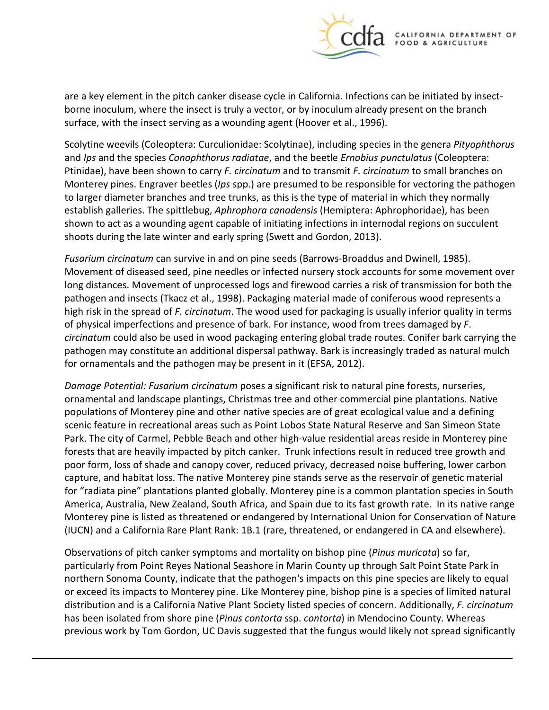

are a key element in the pitch canker disease cycle in California. Infections can be initiated by insectborne inoculum, where the insect is truly a vector, or by inoculum already present on the branch surface, with the insect serving as a wounding agent (Hoover et al., 1996).

Scolytine weevils (Coleoptera: Curculionidae: Scolytinae), including species in the genera *Pityophthorus*  and *Ips* and the species *Conophthorus radiatae*, and the beetle *Ernobius punctulatus* (Coleoptera: Ptinidae), have been shown to carry *F. circinatum* and to transmit *F. circinatum* to small branches on Monterey pines. Engraver beetles (*Ips* spp.) are presumed to be responsible for vectoring the pathogen to larger diameter branches and tree trunks, as this is the type of material in which they normally establish galleries. The spittlebug, *Aphrophora canadensis* (Hemiptera: Aphrophoridae), has been shown to act as a wounding agent capable of initiating infections in internodal regions on succulent shoots during the late winter and early spring (Swett and Gordon, 2013).

*Fusarium circinatum* can survive in and on pine seeds (Barrows-Broaddus and Dwinell, 1985). Movement of diseased seed, pine needles or infected nursery stock accounts for some movement over long distances. Movement of unprocessed logs and firewood carries a risk of transmission for both the pathogen and insects (Tkacz et al., 1998). Packaging material made of coniferous wood represents a high risk in the spread of *F. circinatum*. The wood used for packaging is usually inferior quality in terms of physical imperfections and presence of bark. For instance, wood from trees damaged by *F*. *circinatum* could also be used in wood packaging entering global trade routes. Conifer bark carrying the pathogen may constitute an additional dispersal pathway. Bark is increasingly traded as natural mulch for ornamentals and the pathogen may be present in it (EFSA, 2012).

*Damage Potential: Fusarium circinatum* poses a significant risk to natural pine forests, nurseries, ornamental and landscape plantings, Christmas tree and other commercial pine plantations. Native populations of Monterey pine and other native species are of great ecological value and a defining scenic feature in recreational areas such as Point Lobos State Natural Reserve and San Simeon State Park. The city of Carmel, Pebble Beach and other high-value residential areas reside in Monterey pine forests that are heavily impacted by pitch canker. Trunk infections result in reduced tree growth and poor form, loss of shade and canopy cover, reduced privacy, decreased noise buffering, lower carbon capture, and habitat loss. The native Monterey pine stands serve as the reservoir of genetic material for "radiata pine" plantations planted globally. Monterey pine is a common plantation species in South America, Australia, New Zealand, South Africa, and Spain due to its fast growth rate. In its native range Monterey pine is listed as threatened or endangered by International Union for Conservation of Nature (IUCN) and a California Rare Plant Rank: 1B.1 (rare, threatened, or endangered in CA and elsewhere).

Observations of pitch canker symptoms and mortality on bishop pine (*Pinus muricata*) so far, particularly from Point Reyes National Seashore in Marin County up through Salt Point State Park in northern Sonoma County, indicate that the pathogen's impacts on this pine species are likely to equal or exceed its impacts to Monterey pine. Like Monterey pine, bishop pine is a species of limited natural distribution and is a California Native Plant Society listed species of concern. Additionally, *F. circinatum*  has been isolated from shore pine (*Pinus contorta* ssp. *contorta*) in Mendocino County. Whereas previous work by Tom Gordon, UC Davis suggested that the fungus would likely not spread significantly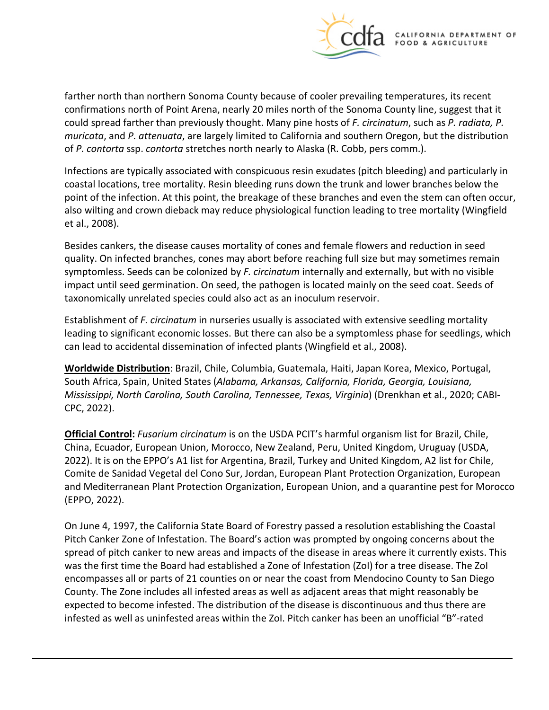

farther north than northern Sonoma County because of cooler prevailing temperatures, its recent confirmations north of Point Arena, nearly 20 miles north of the Sonoma County line, suggest that it could spread farther than previously thought. Many pine hosts of *F. circinatum*, such as *P. radiata, P. muricata*, and *P. attenuata*, are largely limited to California and southern Oregon, but the distribution of *P. contorta* ssp. *contorta* stretches north nearly to Alaska (R. Cobb, pers comm.).

Infections are typically associated with conspicuous resin exudates (pitch bleeding) and particularly in coastal locations, tree mortality. Resin bleeding runs down the trunk and lower branches below the point of the infection. At this point, the breakage of these branches and even the stem can often occur, also wilting and crown dieback may reduce physiological function leading to tree mortality (Wingfield et al., 2008).

Besides cankers, the disease causes mortality of cones and female flowers and reduction in seed quality. On infected branches, cones may abort before reaching full size but may sometimes remain symptomless. Seeds can be colonized by *F. circinatum* internally and externally, but with no visible impact until seed germination. On seed, the pathogen is located mainly on the seed coat. Seeds of taxonomically unrelated species could also act as an inoculum reservoir.

Establishment of *F. circinatum* in nurseries usually is associated with extensive seedling mortality leading to significant economic losses. But there can also be a symptomless phase for seedlings, which can lead to accidental dissemination of infected plants (Wingfield et al., 2008).

**Worldwide Distribution**: Brazil, Chile, Columbia, Guatemala, Haiti, Japan Korea, Mexico, Portugal, South Africa, Spain, United States (*Alabama, Arkansas, California, Florida, Georgia, Louisiana, Mississippi, North Carolina, South Carolina, Tennessee, Texas, Virginia*) (Drenkhan et al., 2020; CABI-CPC, 2022).

**Official Control:** *Fusarium circinatum* is on the USDA PCIT's harmful organism list for Brazil, Chile, China, Ecuador, European Union, Morocco, New Zealand, Peru, United Kingdom, Uruguay (USDA, 2022). It is on the EPPO's A1 list for Argentina, Brazil, Turkey and United Kingdom, A2 list for Chile, Comite de Sanidad Vegetal del Cono Sur, Jordan, European Plant Protection Organization, European and Mediterranean Plant Protection Organization, European Union, and a quarantine pest for Morocco (EPPO, 2022).

On June 4, 1997, the California State Board of Forestry passed a resolution establishing the Coastal Pitch Canker Zone of Infestation. The Board's action was prompted by ongoing concerns about the spread of pitch canker to new areas and impacts of the disease in areas where it currently exists. This was the first time the Board had established a Zone of Infestation (ZoI) for a tree disease. The ZoI encompasses all or parts of 21 counties on or near the coast from Mendocino County to San Diego County. The Zone includes all infested areas as well as adjacent areas that might reasonably be expected to become infested. The distribution of the disease is discontinuous and thus there are infested as well as uninfested areas within the ZoI. Pitch canker has been an unofficial "B"-rated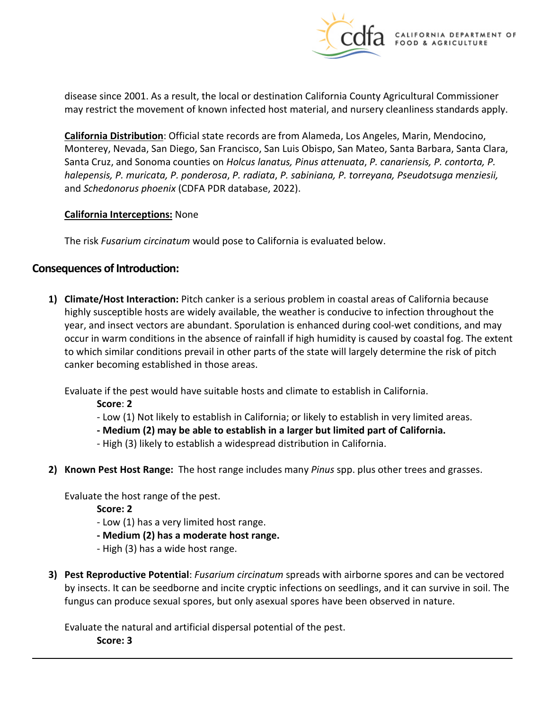

disease since 2001. As a result, the local or destination California County Agricultural Commissioner may restrict the movement of known infected host material, and nursery cleanliness standards apply.

**California Distribution**: Official state records are from Alameda, Los Angeles, Marin, Mendocino, Monterey, Nevada, San Diego, San Francisco, San Luis Obispo, San Mateo, Santa Barbara, Santa Clara, Santa Cruz, and Sonoma counties on *Holcus lanatus, Pinus attenuata*, *P. canariensis, P. contorta, P. halepensis, P. muricata, P. ponderosa*, *P. radiata*, *P. sabiniana, P. torreyana, Pseudotsuga menziesii,*  and *Schedonorus phoenix* (CDFA PDR database, 2022).

#### **California Interceptions:** None

The risk *Fusarium circinatum* would pose to California is evaluated below.

# **Consequences of Introduction:**

**1) Climate/Host Interaction:** Pitch canker is a serious problem in coastal areas of California because highly susceptible hosts are widely available, the weather is conducive to infection throughout the year, and insect vectors are abundant. Sporulation is enhanced during cool-wet conditions, and may occur in warm conditions in the absence of rainfall if high humidity is caused by coastal fog. The extent to which similar conditions prevail in other parts of the state will largely determine the risk of pitch canker becoming established in those areas.

Evaluate if the pest would have suitable hosts and climate to establish in California.

**Score**: **2** 

- Low (1) Not likely to establish in California; or likely to establish in very limited areas.
- **- Medium (2) may be able to establish in a larger but limited part of California.**
- High (3) likely to establish a widespread distribution in California.
- **2) Known Pest Host Range:** The host range includes many *Pinus* spp. plus other trees and grasses.

Evaluate the host range of the pest.

**Score: 2** 

- Low (1) has a very limited host range.
- **- Medium (2) has a moderate host range.**
- High (3) has a wide host range.
- **3) Pest Reproductive Potential**: *Fusarium circinatum* spreads with airborne spores and can be vectored by insects. It can be seedborne and incite cryptic infections on seedlings, and it can survive in soil. The fungus can produce sexual spores, but only asexual spores have been observed in nature.

Evaluate the natural and artificial dispersal potential of the pest.

**Score: 3**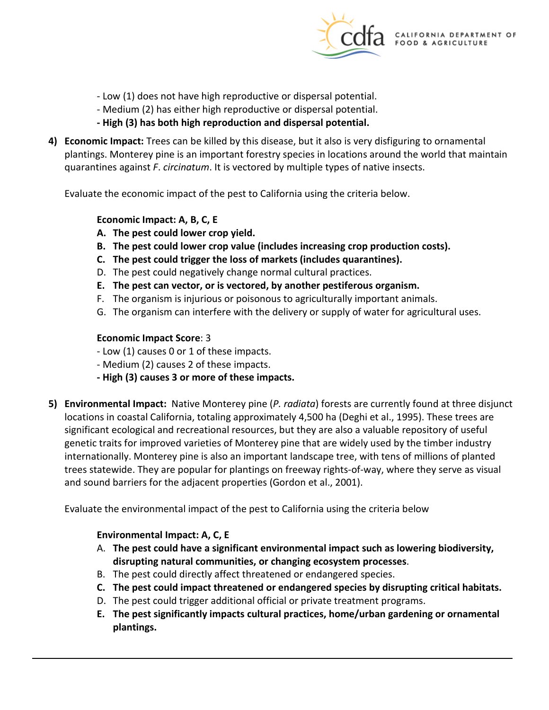

- Low (1) does not have high reproductive or dispersal potential.
- Medium (2) has either high reproductive or dispersal potential.
- **- High (3) has both high reproduction and dispersal potential.**
- **4) Economic Impact:** Trees can be killed by this disease, but it also is very disfiguring to ornamental plantings. Monterey pine is an important forestry species in locations around the world that maintain quarantines against *F*. *circinatum*. It is vectored by multiple types of native insects.

Evaluate the economic impact of the pest to California using the criteria below.

#### **Economic Impact: A, B, C, E**

- **A. The pest could lower crop yield.**
- **B. The pest could lower crop value (includes increasing crop production costs).**
- **C. The pest could trigger the loss of markets (includes quarantines).**
- D. The pest could negatively change normal cultural practices.
- **E. The pest can vector, or is vectored, by another pestiferous organism.**
- F. The organism is injurious or poisonous to agriculturally important animals.
- G. The organism can interfere with the delivery or supply of water for agricultural uses.

#### **Economic Impact Score**: 3

- Low (1) causes 0 or 1 of these impacts.
- Medium (2) causes 2 of these impacts.
- **- High (3) causes 3 or more of these impacts.**
- **5) Environmental Impact:** Native Monterey pine (*P. radiata*) forests are currently found at three disjunct locations in coastal California, totaling approximately 4,500 ha (Deghi et al., 1995). These trees are significant ecological and recreational resources, but they are also a valuable repository of useful genetic traits for improved varieties of Monterey pine that are widely used by the timber industry internationally. Monterey pine is also an important landscape tree, with tens of millions of planted trees statewide. They are popular for plantings on freeway rights-of-way, where they serve as visual and sound barriers for the adjacent properties (Gordon et al., 2001).

Evaluate the environmental impact of the pest to California using the criteria below

### **Environmental Impact: A, C, E**

- A. **The pest could have a significant environmental impact such as lowering biodiversity, disrupting natural communities, or changing ecosystem processes**.
- B. The pest could directly affect threatened or endangered species.
- **C. The pest could impact threatened or endangered species by disrupting critical habitats.**
- D. The pest could trigger additional official or private treatment programs.
- **E. The pest significantly impacts cultural practices, home/urban gardening or ornamental plantings.**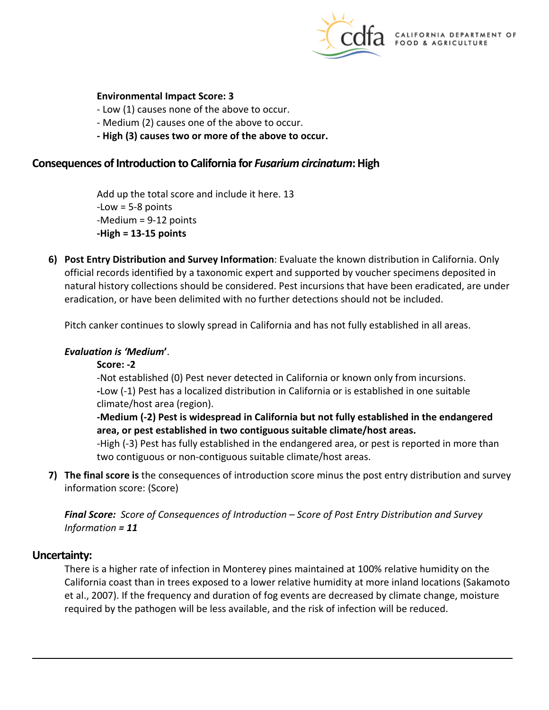

#### **Environmental Impact Score: 3**

- Low (1) causes none of the above to occur.

- Medium (2) causes one of the above to occur.
- **- High (3) causes two or more of the above to occur.**

#### **Consequences of Introduction to California for** *Fusarium circinatum***: High**

Add up the total score and include it here. 13 -Low = 5-8 points -Medium = 9-12 points **-High = 13-15 points** 

**6) Post Entry Distribution and Survey Information**: Evaluate the known distribution in California. Only official records identified by a taxonomic expert and supported by voucher specimens deposited in natural history collections should be considered. Pest incursions that have been eradicated, are under eradication, or have been delimited with no further detections should not be included.

Pitch canker continues to slowly spread in California and has not fully established in all areas.

#### *Evaluation is 'Medium***'**.

#### **Score: -2**

-Not established (0) Pest never detected in California or known only from incursions. **-**Low (-1) Pest has a localized distribution in California or is established in one suitable climate/host area (region).

**-Medium (-2) Pest is widespread in California but not fully established in the endangered area, or pest established in two contiguous suitable climate/host areas.** 

-High (-3) Pest has fully established in the endangered area, or pest is reported in more than two contiguous or non-contiguous suitable climate/host areas.

**7) The final score is** the consequences of introduction score minus the post entry distribution and survey information score: (Score)

*Final Score: Score of Consequences of Introduction – Score of Post Entry Distribution and Survey Information = 11* 

#### **Uncertainty:**

There is a higher rate of infection in Monterey pines maintained at 100% relative humidity on the California coast than in trees exposed to a lower relative humidity at more inland locations (Sakamoto et al., 2007). If the frequency and duration of fog events are decreased by climate change, moisture required by the pathogen will be less available, and the risk of infection will be reduced.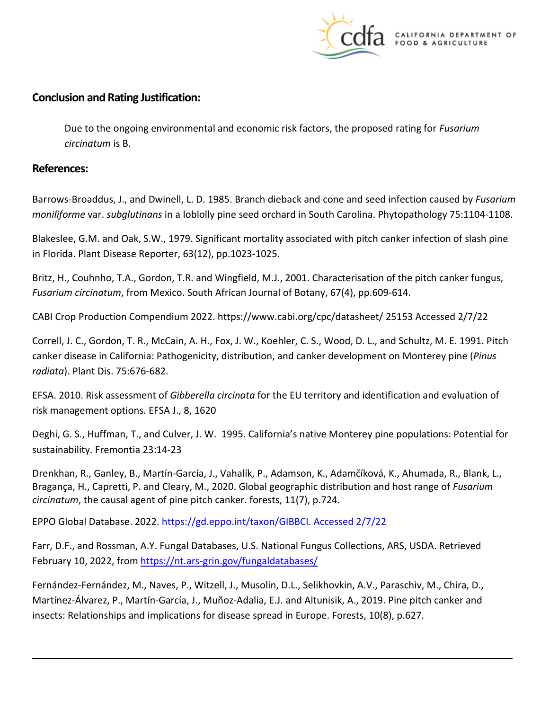

# **Conclusion and Rating Justification:**

Due to the ongoing environmental and economic risk factors, the proposed rating for *Fusarium circinatum* is B.

### **References:**

Barrows-Broaddus, J., and Dwinell, L. D. 1985. Branch dieback and cone and seed infection caused by *Fusarium moniliforme* var. *subglutinans* in a loblolly pine seed orchard in South Carolina. Phytopathology 75:1104-1108.

Blakeslee, G.M. and Oak, S.W., 1979. Significant mortality associated with pitch canker infection of slash pine in Florida. Plant Disease Reporter, 63(12), pp.1023-1025.

Britz, H., Couhnho, T.A., Gordon, T.R. and Wingfield, M.J., 2001. Characterisation of the pitch canker fungus, *Fusarium circinatum*, from Mexico. South African Journal of Botany, 67(4), pp.609-614.

CABI Crop Production Compendium 2022. [https://www.cabi.org/cpc/datasheet/](https://www.cabi.org/cpc/datasheet) 25153 Accessed 2/7/22

Correll, J. C., Gordon, T. R., McCain, A. H., Fox, J. W., Koehler, C. S., Wood, D. L., and Schultz, M. E. 1991. Pitch canker disease in California: Pathogenicity, distribution, and canker development on Monterey pine (*Pinus radiata*). Plant Dis. 75:676-682.

EFSA. 2010. Risk assessment of *Gibberella circinata* for the EU territory and identification and evaluation of risk management options. EFSA J., 8, 1620

Deghi, G. S., Huffman, T., and Culver, J. W. 1995. California's native Monterey pine populations: Potential for sustainability. Fremontia 23:14-23

 Drenkhan, R., Ganley, B., Martín-García, J., Vahalík, P., Adamson, K., Adamčíková, K., Ahumada, R., Blank, L., Bragança, H., Capretti, P. and Cleary, M., 2020. Global geographic distribution and host range of *Fusarium circinatum*, the causal agent of pine pitch canker. forests, 11(7), p.724.

EPPO Global Database. 2022. [https://gd.eppo.int/taxon/GIBBCI. Accessed 2/7/22](https://gd.eppo.int/taxon/GIBBCI.%20Accessed%202/7/22) 

Farr, D.F., and Rossman, A.Y. Fungal Databases, U.S. National Fungus Collections, ARS, USDA. Retrieved February 10, 2022, from https://nt.ars-grin.gov/fungaldatabases/

 Fernández-Fernández, M., Naves, P., Witzell, J., Musolin, D.L., Selikhovkin, A.V., Paraschiv, M., Chira, D., Martínez-Álvarez, P., Martín-García, J., Muñoz-Adalia, E.J. and Altunisik, A., 2019. Pine pitch canker and insects: Relationships and implications for disease spread in Europe. Forests, 10(8), p.627.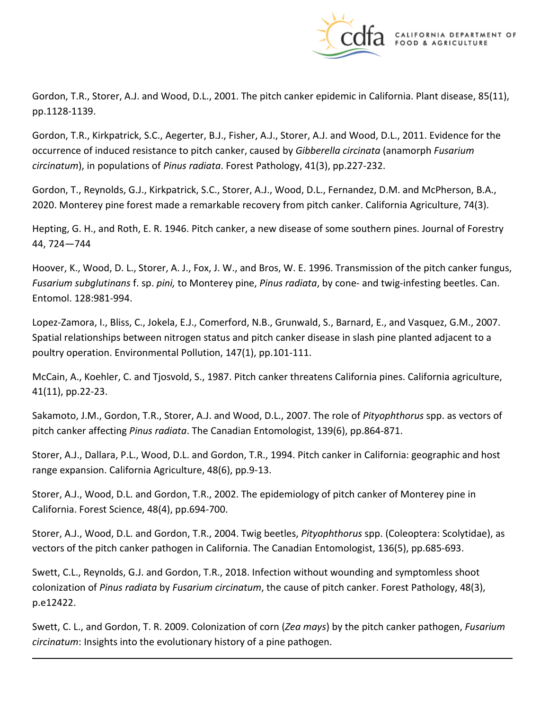

Gordon, T.R., Storer, A.J. and Wood, D.L., 2001. The pitch canker epidemic in California. Plant disease, 85(11), pp.1128-1139.

Gordon, T.R., Kirkpatrick, S.C., Aegerter, B.J., Fisher, A.J., Storer, A.J. and Wood, D.L., 2011. Evidence for the occurrence of induced resistance to pitch canker, caused by *Gibberella circinata* (anamorph *Fusarium circinatum*), in populations of *Pinus radiata*. Forest Pathology, 41(3), pp.227-232.

Gordon, T., Reynolds, G.J., Kirkpatrick, S.C., Storer, A.J., Wood, D.L., Fernandez, D.M. and McPherson, B.A., 2020. Monterey pine forest made a remarkable recovery from pitch canker. California Agriculture, 74(3).

Hepting, G. H., and Roth, E. R. 1946. Pitch canker, a new disease of some southern pines. Journal of Forestry 44, 724—744

Hoover, K., Wood, D. L., Storer, A. J., Fox, J. W., and Bros, W. E. 1996. Transmission of the pitch canker fungus, *Fusarium subglutinans* f. sp. *pini,* to Monterey pine, *Pinus radiata*, by cone- and twig-infesting beetles. Can. Entomol. 128:981-994.

Lopez-Zamora, I., Bliss, C., Jokela, E.J., Comerford, N.B., Grunwald, S., Barnard, E., and Vasquez, G.M., 2007. Spatial relationships between nitrogen status and pitch canker disease in slash pine planted adjacent to a poultry operation. Environmental Pollution, 147(1), pp.101-111.

McCain, A., Koehler, C. and Tjosvold, S., 1987. Pitch canker threatens California pines. California agriculture, 41(11), pp.22-23.

Sakamoto, J.M., Gordon, T.R., Storer, A.J. and Wood, D.L., 2007. The role of *Pityophthorus* spp. as vectors of pitch canker affecting *Pinus radiata*. The Canadian Entomologist, 139(6), pp.864-871.

Storer, A.J., Dallara, P.L., Wood, D.L. and Gordon, T.R., 1994. Pitch canker in California: geographic and host range expansion. California Agriculture, 48(6), pp.9-13.

Storer, A.J., Wood, D.L. and Gordon, T.R., 2002. The epidemiology of pitch canker of Monterey pine in California. Forest Science, 48(4), pp.694-700.

Storer, A.J., Wood, D.L. and Gordon, T.R., 2004. Twig beetles, *Pityophthorus* spp. (Coleoptera: Scolytidae), as vectors of the pitch canker pathogen in California. The Canadian Entomologist, 136(5), pp.685-693.

Swett, C.L., Reynolds, G.J. and Gordon, T.R., 2018. Infection without wounding and symptomless shoot colonization of *Pinus radiata* by *Fusarium circinatum*, the cause of pitch canker. Forest Pathology, 48(3), p.e12422.

Swett, C. L., and Gordon, T. R. 2009. Colonization of corn (*Zea mays*) by the pitch canker pathogen, *Fusarium circinatum*: Insights into the evolutionary history of a pine pathogen.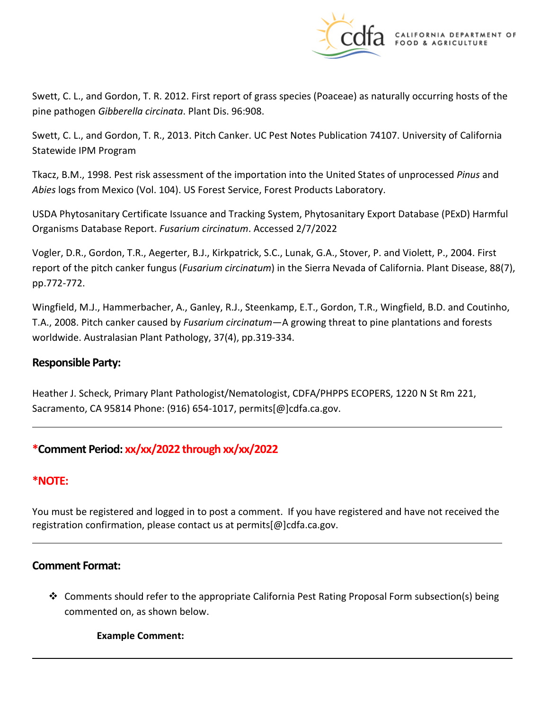

Swett, C. L., and Gordon, T. R. 2012. First report of grass species (Poaceae) as naturally occurring hosts of the pine pathogen *Gibberella circinata*. Plant Dis. 96:908.

Swett, C. L., and Gordon, T. R., 2013. Pitch Canker. UC Pest Notes Publication 74107. University of California Statewide IPM Program

Tkacz, B.M., 1998. Pest risk assessment of the importation into the United States of unprocessed *Pinus* and *Abies* logs from Mexico (Vol. 104). US Forest Service, Forest Products Laboratory.

USDA Phytosanitary Certificate Issuance and Tracking System, Phytosanitary Export Database (PExD) Harmful Organisms Database Report. *Fusarium circinatum*. Accessed 2/7/2022

Vogler, D.R., Gordon, T.R., Aegerter, B.J., Kirkpatrick, S.C., Lunak, G.A., Stover, P. and Violett, P., 2004. First report of the pitch canker fungus (*Fusarium circinatum*) in the Sierra Nevada of California. Plant Disease, 88(7), pp.772-772.

Wingfield, M.J., Hammerbacher, A., Ganley, R.J., Steenkamp, E.T., Gordon, T.R., Wingfield, B.D. and Coutinho, T.A., 2008. Pitch canker caused by *Fusarium circinatum*—A growing threat to pine plantations and forests worldwide. Australasian Plant Pathology, 37(4), pp.319-334.

# **Responsible Party:**

Heather J. Scheck, Primary Plant Pathologist/Nematologist, CDFA/PHPPS ECOPERS, 1220 N St Rm 221, Sacramento, CA 95814 Phone: (916) 654-1017, [permits\[@\]cdfa.ca.gov](https://permits[@]cdfa.ca.gov).

# **\*Comment Period: xx/xx/2022 through xx/xx/2022**

# **\*NOTE:**

You must be registered and logged in to post a comment. If you have registered and have not received the registration confirmation, please contact us at [permits\[@\]cdfa.ca.gov](https://permits[@]cdfa.ca.gov).

### **Comment Format:**

 Comments should refer to the appropriate California Pest Rating Proposal Form subsection(s) being commented on, as shown below.

**Example Comment:**